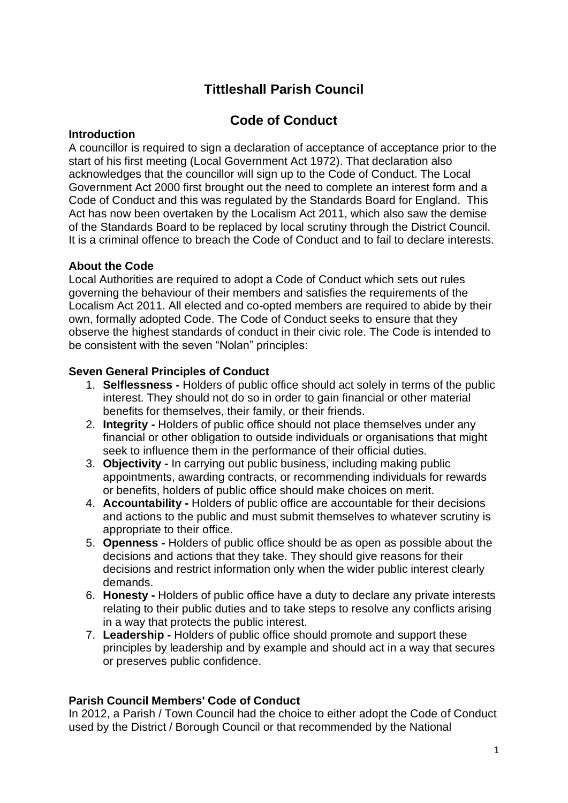# **Tittleshall Parish Council**

# **Code of Conduct**

### **Introduction**

A councillor is required to sign a declaration of acceptance of acceptance prior to the start of his first meeting (Local Government Act 1972). That declaration also acknowledges that the councillor will sign up to the Code of Conduct. The Local Government Act 2000 first brought out the need to complete an interest form and a Code of Conduct and this was regulated by the Standards Board for England. This Act has now been overtaken by the Localism Act 2011, which also saw the demise of the Standards Board to be replaced by local scrutiny through the District Council. It is a criminal offence to breach the Code of Conduct and to fail to declare interests.

# **About the Code**

Local Authorities are required to adopt a Code of Conduct which sets out rules governing the behaviour of their members and satisfies the requirements of the Localism Act 2011. All elected and co-opted members are required to abide by their own, formally adopted Code. The Code of Conduct seeks to ensure that they observe the highest standards of conduct in their civic role. The Code is intended to be consistent with the seven "Nolan" principles:

## **Seven General Principles of Conduct**

- 1. **Selflessness -** Holders of public office should act solely in terms of the public interest. They should not do so in order to gain financial or other material benefits for themselves, their family, or their friends.
- 2. **Integrity -** Holders of public office should not place themselves under any financial or other obligation to outside individuals or organisations that might seek to influence them in the performance of their official duties.
- 3. **Objectivity -** In carrying out public business, including making public appointments, awarding contracts, or recommending individuals for rewards or benefits, holders of public office should make choices on merit.
- 4. **Accountability -** Holders of public office are accountable for their decisions and actions to the public and must submit themselves to whatever scrutiny is appropriate to their office.
- 5. **Openness -** Holders of public office should be as open as possible about the decisions and actions that they take. They should give reasons for their decisions and restrict information only when the wider public interest clearly demands.
- 6. **Honesty -** Holders of public office have a duty to declare any private interests relating to their public duties and to take steps to resolve any conflicts arising in a way that protects the public interest.
- 7. **Leadership -** Holders of public office should promote and support these principles by leadership and by example and should act in a way that secures or preserves public confidence.

# **Parish Council Members' Code of Conduct**

In 2012, a Parish / Town Council had the choice to either adopt the Code of Conduct used by the District / Borough Council or that recommended by the National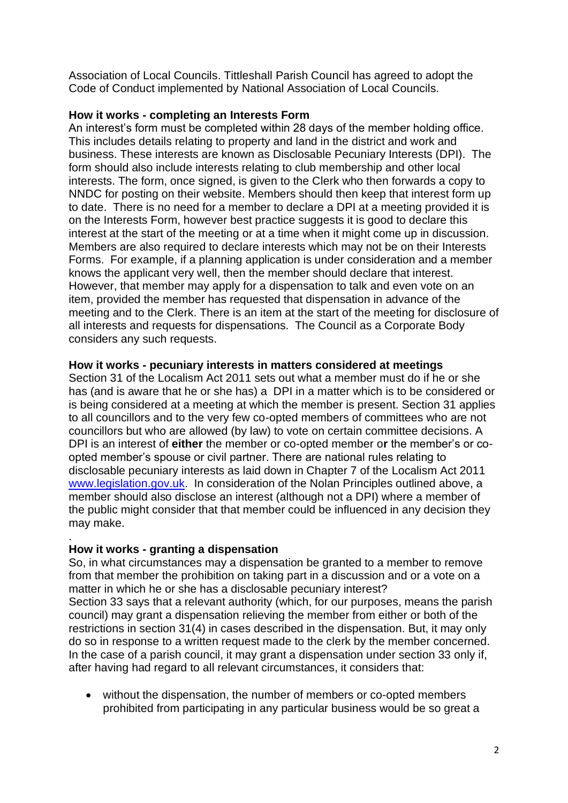Association of Local Councils. Tittleshall Parish Council has agreed to adopt the Code of Conduct implemented by National Association of Local Councils.

## **How it works - completing an Interests Form**

An interest's form must be completed within 28 days of the member holding office. This includes details relating to property and land in the district and work and business. These interests are known as Disclosable Pecuniary Interests (DPI). The form should also include interests relating to club membership and other local interests. The form, once signed, is given to the Clerk who then forwards a copy to NNDC for posting on their website. Members should then keep that interest form up to date. There is no need for a member to declare a DPI at a meeting provided it is on the Interests Form, however best practice suggests it is good to declare this interest at the start of the meeting or at a time when it might come up in discussion. Members are also required to declare interests which may not be on their Interests Forms. For example, if a planning application is under consideration and a member knows the applicant very well, then the member should declare that interest. However, that member may apply for a dispensation to talk and even vote on an item, provided the member has requested that dispensation in advance of the meeting and to the Clerk. There is an item at the start of the meeting for disclosure of all interests and requests for dispensations. The Council as a Corporate Body considers any such requests.

### **How it works - pecuniary interests in matters considered at meetings**

Section 31 of the Localism Act 2011 sets out what a member must do if he or she has (and is aware that he or she has) a DPI in a matter which is to be considered or is being considered at a meeting at which the member is present. Section 31 applies to all councillors and to the very few co-opted members of committees who are not councillors but who are allowed (by law) to vote on certain committee decisions. A DPI is an interest of **either** the member or co-opted member o**r** the member's or coopted member's spouse or civil partner. There are national rules relating to disclosable pecuniary interests as laid down in Chapter 7 of the Localism Act 2011 [www.legislation.gov.uk.](http://www.legislation.gov.uk/) In consideration of the Nolan Principles outlined above, a member should also disclose an interest (although not a DPI) where a member of the public might consider that that member could be influenced in any decision they may make.

#### **How it works - granting a dispensation**

.

So, in what circumstances may a dispensation be granted to a member to remove from that member the prohibition on taking part in a discussion and or a vote on a matter in which he or she has a disclosable pecuniary interest? Section 33 says that a relevant authority (which, for our purposes, means the parish council) may grant a dispensation relieving the member from either or both of the restrictions in section 31(4) in cases described in the dispensation. But, it may only do so in response to a written request made to the clerk by the member concerned. In the case of a parish council, it may grant a dispensation under section 33 only if, after having had regard to all relevant circumstances, it considers that:

• without the dispensation, the number of members or co-opted members prohibited from participating in any particular business would be so great a